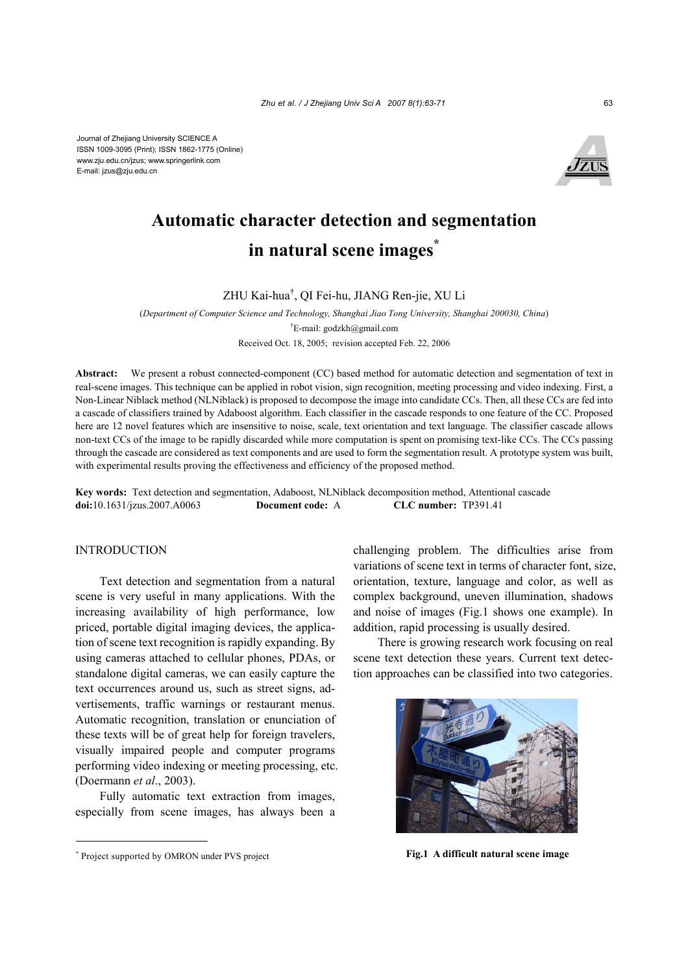Journal of Zhejiang University SCIENCE A ISSN 1009-3095 (Print); ISSN 1862-1775 (Online) www.zju.edu.cn/jzus; www.springerlink.com E-mail: jzus@zju.edu.cn



# **Automatic character detection and segmentation in natural scene images\***

## ZHU Kai-hua† , QI Fei-hu, JIANG Ren-jie, XU Li

(*Department of Computer Science and Technology, Shanghai Jiao Tong University, Shanghai 200030, China*) † E-mail: godzkh@gmail.com Received Oct. 18, 2005; revision accepted Feb. 22, 2006

**Abstract:** We present a robust connected-component (CC) based method for automatic detection and segmentation of text in real-scene images. This technique can be applied in robot vision, sign recognition, meeting processing and video indexing. First, a Non-Linear Niblack method (NLNiblack) is proposed to decompose the image into candidate CCs. Then, all these CCs are fed into a cascade of classifiers trained by Adaboost algorithm. Each classifier in the cascade responds to one feature of the CC. Proposed here are 12 novel features which are insensitive to noise, scale, text orientation and text language. The classifier cascade allows non-text CCs of the image to be rapidly discarded while more computation is spent on promising text-like CCs. The CCs passing through the cascade are considered as text components and are used to form the segmentation result. A prototype system was built, with experimental results proving the effectiveness and efficiency of the proposed method.

**Key words:** Text detection and segmentation, Adaboost, NLNiblack decomposition method, Attentional cascade **doi:**10.1631/jzus.2007.A0063 **Document code:** A **CLC number:** TP391.41

## **INTRODUCTION**

Text detection and segmentation from a natural scene is very useful in many applications. With the increasing availability of high performance, low priced, portable digital imaging devices, the application of scene text recognition is rapidly expanding. By using cameras attached to cellular phones, PDAs, or standalone digital cameras, we can easily capture the text occurrences around us, such as street signs, advertisements, traffic warnings or restaurant menus. Automatic recognition, translation or enunciation of these texts will be of great help for foreign travelers, visually impaired people and computer programs performing video indexing or meeting processing, etc. (Doermann *et al*., 2003).

Fully automatic text extraction from images, especially from scene images, has always been a challenging problem. The difficulties arise from variations of scene text in terms of character font, size, orientation, texture, language and color, as well as complex background, uneven illumination, shadows and noise of images (Fig.1 shows one example). In addition, rapid processing is usually desired.

There is growing research work focusing on real scene text detection these years. Current text detection approaches can be classified into two categories.



<sup>\*</sup> Project supported by OMRON under PVS project **Fig.1 A difficult natural scene image**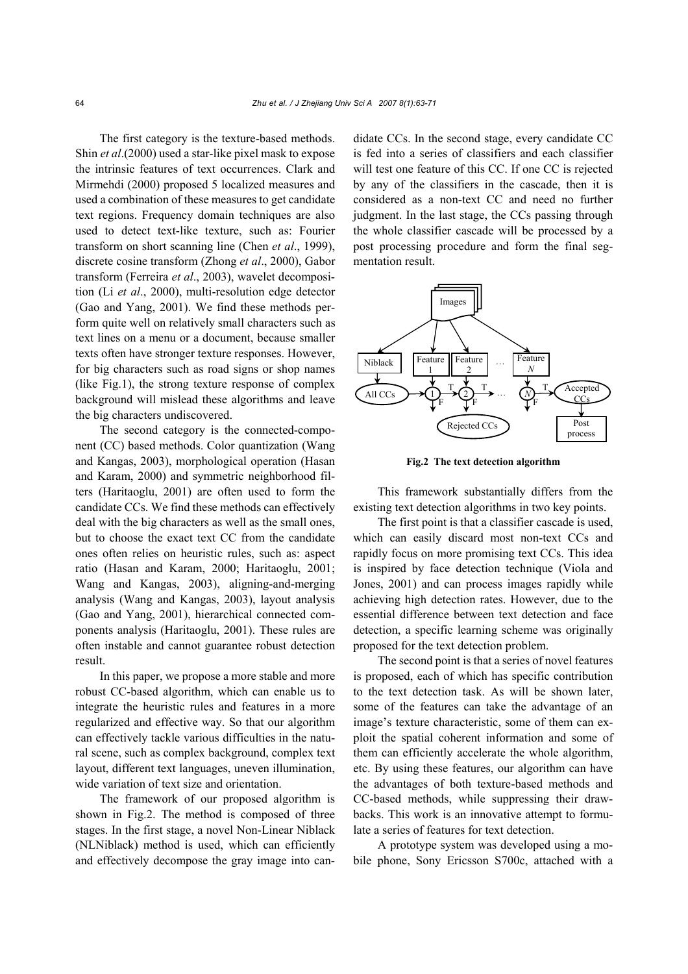The first category is the texture-based methods. Shin *et al*.(2000) used a star-like pixel mask to expose the intrinsic features of text occurrences. Clark and Mirmehdi (2000) proposed 5 localized measures and used a combination of these measures to get candidate text regions. Frequency domain techniques are also used to detect text-like texture, such as: Fourier transform on short scanning line (Chen *et al*., 1999), discrete cosine transform (Zhong *et al*., 2000), Gabor transform (Ferreira *et al*., 2003), wavelet decomposition (Li *et al*., 2000), multi-resolution edge detector (Gao and Yang, 2001). We find these methods perform quite well on relatively small characters such as text lines on a menu or a document, because smaller texts often have stronger texture responses. However, for big characters such as road signs or shop names (like Fig.1), the strong texture response of complex background will mislead these algorithms and leave the big characters undiscovered.

The second category is the connected-component (CC) based methods. Color quantization (Wang and Kangas, 2003), morphological operation (Hasan and Karam, 2000) and symmetric neighborhood filters (Haritaoglu, 2001) are often used to form the candidate CCs. We find these methods can effectively deal with the big characters as well as the small ones, but to choose the exact text CC from the candidate ones often relies on heuristic rules, such as: aspect ratio (Hasan and Karam, 2000; Haritaoglu, 2001; Wang and Kangas, 2003), aligning-and-merging analysis (Wang and Kangas, 2003), layout analysis (Gao and Yang, 2001), hierarchical connected components analysis (Haritaoglu, 2001). These rules are often instable and cannot guarantee robust detection result.

In this paper, we propose a more stable and more robust CC-based algorithm, which can enable us to integrate the heuristic rules and features in a more regularized and effective way. So that our algorithm can effectively tackle various difficulties in the natural scene, such as complex background, complex text layout, different text languages, uneven illumination, wide variation of text size and orientation.

The framework of our proposed algorithm is shown in Fig.2. The method is composed of three stages. In the first stage, a novel Non-Linear Niblack (NLNiblack) method is used, which can efficiently and effectively decompose the gray image into candidate CCs. In the second stage, every candidate CC is fed into a series of classifiers and each classifier will test one feature of this CC. If one CC is rejected by any of the classifiers in the cascade, then it is considered as a non-text CC and need no further judgment. In the last stage, the CCs passing through the whole classifier cascade will be processed by a post processing procedure and form the final segmentation result.



**Fig.2 The text detection algorithm** 

This framework substantially differs from the existing text detection algorithms in two key points.

The first point is that a classifier cascade is used, which can easily discard most non-text CCs and rapidly focus on more promising text CCs. This idea is inspired by face detection technique (Viola and Jones, 2001) and can process images rapidly while achieving high detection rates. However, due to the essential difference between text detection and face detection, a specific learning scheme was originally proposed for the text detection problem.

The second point is that a series of novel features is proposed, each of which has specific contribution to the text detection task. As will be shown later, some of the features can take the advantage of an image's texture characteristic, some of them can exploit the spatial coherent information and some of them can efficiently accelerate the whole algorithm, etc. By using these features, our algorithm can have the advantages of both texture-based methods and CC-based methods, while suppressing their drawbacks. This work is an innovative attempt to formulate a series of features for text detection.

A prototype system was developed using a mobile phone, Sony Ericsson S700c, attached with a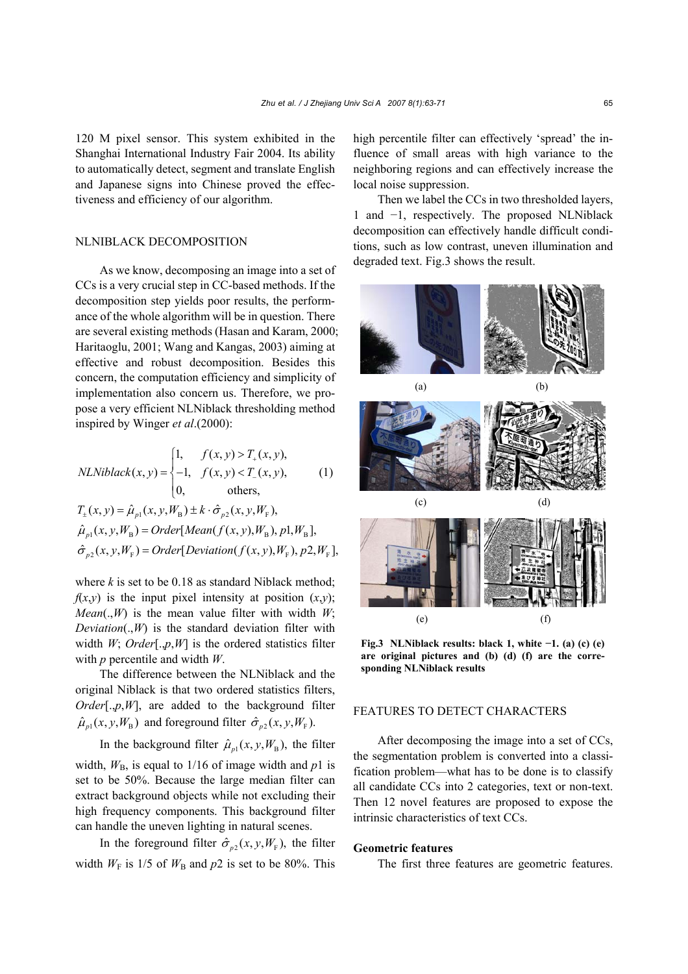120 M pixel sensor. This system exhibited in the Shanghai International Industry Fair 2004. Its ability to automatically detect, segment and translate English and Japanese signs into Chinese proved the effectiveness and efficiency of our algorithm.

## NLNIBLACK DECOMPOSITION

As we know, decomposing an image into a set of CCs is a very crucial step in CC-based methods. If the decomposition step yields poor results, the performance of the whole algorithm will be in question. There are several existing methods (Hasan and Karam, 2000; Haritaoglu, 2001; Wang and Kangas, 2003) aiming at effective and robust decomposition. Besides this concern, the computation efficiency and simplicity of implementation also concern us. Therefore, we propose a very efficient NLNiblack thresholding method inspired by Winger *et al*.(2000):

$$
NLNiblack(x, y) = \begin{cases} 1, & f(x, y) > T_{+}(x, y), \\ -1, & f(x, y) < T_{-}(x, y), \\ 0, & \text{others}, \end{cases}
$$
 (1)  

$$
T_{\pm}(x, y) = \hat{\mu}_{p1}(x, y, W_{B}) \pm k \cdot \hat{\sigma}_{p2}(x, y, W_{F}),
$$

$$
\hat{\mu}_{p1}(x, y, W_{B}) = Order[Mean(f(x, y), W_{B}), p1, W_{B}],
$$

 $\hat{\sigma}_{p2}(x, y, W_{\rm F}) = Order[Deviation(f(x, y), W_{\rm F}), p2, W_{\rm F}],$ 

where  $k$  is set to be 0.18 as standard Niblack method;  $f(x,y)$  is the input pixel intensity at position  $(x,y)$ ; *Mean*( $W$ ), is the mean value filter with width *W*; *Deviation*(.,*W*) is the standard deviation filter with width *W*; *Order*[., $p$ ,*W*] is the ordered statistics filter with *p* percentile and width *W*.

The difference between the NLNiblack and the original Niblack is that two ordered statistics filters, *Order*[.,*p*,*W*], are added to the background filter  $\hat{\mu}_{p}(x, y, W_B)$  and foreground filter  $\hat{\sigma}_{p}(x, y, W_F)$ .

In the background filter  $\hat{\mu}_{p}$  (*x, y, W*<sub>B</sub>), the filter width,  $W_{\text{B}}$ , is equal to 1/16 of image width and  $p1$  is set to be 50%. Because the large median filter can extract background objects while not excluding their high frequency components. This background filter can handle the uneven lighting in natural scenes.

In the foreground filter  $\hat{\sigma}_{p2}(x, y, W_{F})$ , the filter width  $W_F$  is 1/5 of  $W_B$  and  $p2$  is set to be 80%. This

high percentile filter can effectively 'spread' the influence of small areas with high variance to the neighboring regions and can effectively increase the local noise suppression.

Then we label the CCs in two thresholded layers, 1 and −1, respectively. The proposed NLNiblack decomposition can effectively handle difficult conditions, such as low contrast, uneven illumination and degraded text. Fig.3 shows the result.



**Fig.3 NLNiblack results: black 1, white −1. (a) (c) (e) are original pictures and (b) (d) (f) are the corresponding NLNiblack results** 

## FEATURES TO DETECT CHARACTERS

After decomposing the image into a set of CCs, the segmentation problem is converted into a classification problem—what has to be done is to classify all candidate CCs into 2 categories, text or non-text. Then 12 novel features are proposed to expose the intrinsic characteristics of text CCs.

#### **Geometric features**

The first three features are geometric features.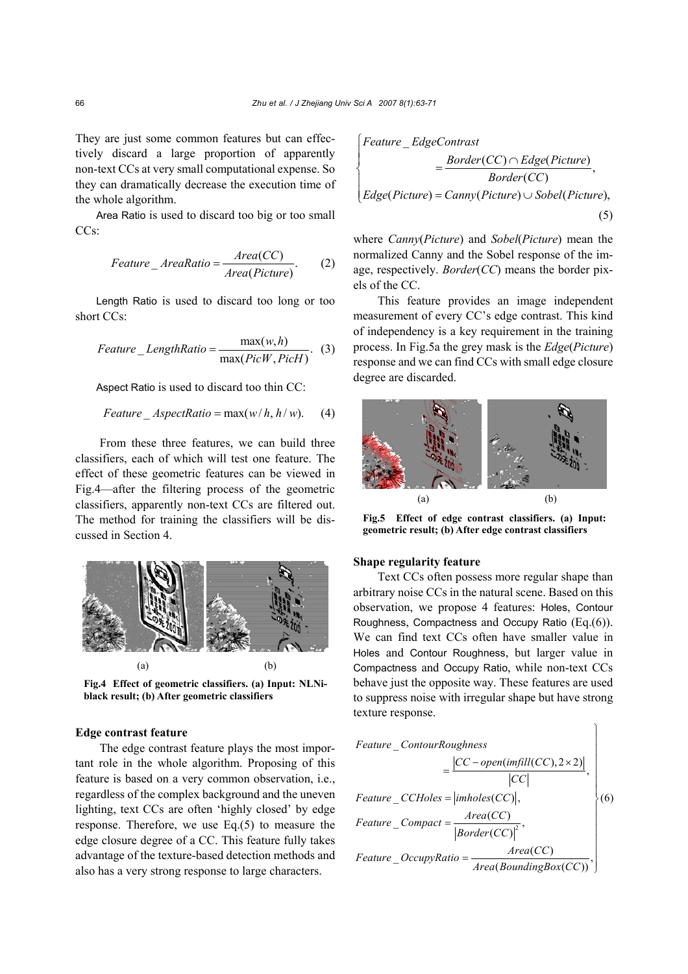They are just some common features but can effectively discard a large proportion of apparently non-text CCs at very small computational expense. So they can dramatically decrease the execution time of the whole algorithm.

Area Ratio is used to discard too big or too small CC<sub>s</sub>:

$$
Feature\_AreaRatio = \frac{Area(CC)}{Area(Picture)}.
$$
 (2)

Length Ratio is used to discard too long or too short CCs:

$$
Feature\_LengthRatio = \frac{\max(w, h)}{\max(PicW, PicH)}.
$$
 (3)

Aspect Ratio is used to discard too thin CC:

$$
Feature\_AspectRatio = \max(w/h, h/w). \quad (4)
$$

From these three features, we can build three classifiers, each of which will test one feature. The effect of these geometric features can be viewed in Fig.4—after the filtering process of the geometric classifiers, apparently non-text CCs are filtered out. The method for training the classifiers will be discussed in Section 4.



**Fig.4 Effect of geometric classifiers. (a) Input: NLNiblack result; (b) After geometric classifiers** 

### **Edge contrast feature**

The edge contrast feature plays the most important role in the whole algorithm. Proposing of this feature is based on a very common observation, i.e., regardless of the complex background and the uneven lighting, text CCs are often 'highly closed' by edge response. Therefore, we use Eq.(5) to measure the edge closure degree of a CC. This feature fully takes advantage of the texture-based detection methods and also has a very strong response to large characters.

$$
Feature\_EdgeContrast
$$
  
= 
$$
\frac{Border(CC) \cap Edge(Picture)}{Border(CC)}
$$
,  
Edge(Picture) = Canny(Picture) \cup Sobel(Picture), (5)

where *Canny*(*Picture*) and *Sobel*(*Picture*) mean the normalized Canny and the Sobel response of the image, respectively. *Border*(*CC*) means the border pixels of the CC.

This feature provides an image independent measurement of every CC's edge contrast. This kind of independency is a key requirement in the training process. In Fig.5a the grey mask is the *Edge*(*Picture*) response and we can find CCs with small edge closure degree are discarded.



**Fig.5 Effect of edge contrast classifiers. (a) Input: geometric result; (b) After edge contrast classifiers** 

## **Shape regularity feature**

Text CCs often possess more regular shape than arbitrary noise CCs in the natural scene. Based on this observation, we propose 4 features: Holes, Contour Roughness, Compactness and Occupy Ratio (Eq.(6)). We can find text CCs often have smaller value in Holes and Contour Roughness, but larger value in Compactness and Occupy Ratio, while non-text CCs behave just the opposite way. These features are used to suppress noise with irregular shape but have strong texture response.

$$
Feature\_ContourRoughness
$$
\n
$$
= \frac{|CC - open(imfill(CC), 2 \times 2)|}{|CC|},
$$
\n
$$
Feature\_CCHoles = |imholes(CC)|,
$$
\n
$$
Feature\_Compact = \frac{Area(CC)}{|Border(CC)|^2},
$$
\n
$$
Feature\_OccupyRatio = \frac{Area(CC)}{Area(BoundingBox(CC))},
$$
\n(6)

 $\begin{matrix} \end{matrix}$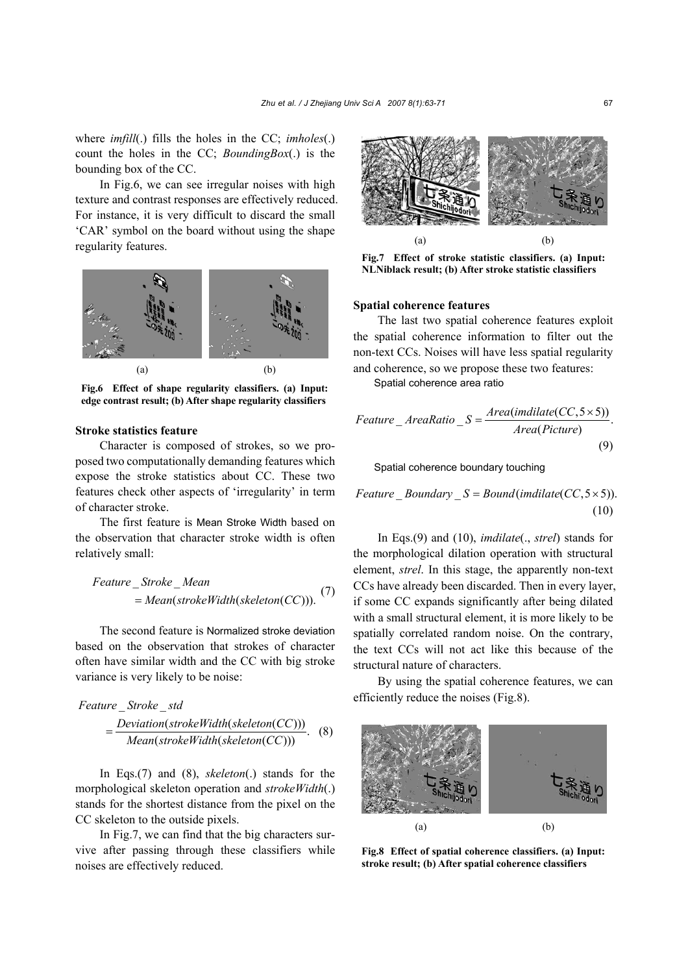where *imfill*(.) fills the holes in the CC; *imholes*(.) count the holes in the CC; *BoundingBox*(.) is the bounding box of the CC.

In Fig.6, we can see irregular noises with high texture and contrast responses are effectively reduced. For instance, it is very difficult to discard the small 'CAR' symbol on the board without using the shape regularity features.



**Fig.6 Effect of shape regularity classifiers. (a) Input: edge contrast result; (b) After shape regularity classifiers**

#### **Stroke statistics feature**

Character is composed of strokes, so we proposed two computationally demanding features which expose the stroke statistics about CC. These two features check other aspects of 'irregularity' in term of character stroke.

The first feature is Mean Stroke Width based on the observation that character stroke width is often relatively small:

$$
Feature\_Store\_Mean
$$
  
= Mean(strokeWidth(skeleton(CC))). (7)

The second feature is Normalized stroke deviation based on the observation that strokes of character often have similar width and the CC with big stroke variance is very likely to be noise:

$$
Feature\_Stroke\_std
$$
  
= 
$$
\frac{Deviation(strokeWidth(skeleton(CC)))}{Mean(strokeWidth(skeleton(CC)))}
$$
. (8)

In Eqs.(7) and (8), *skeleton*(.) stands for the morphological skeleton operation and *strokeWidth*(.) stands for the shortest distance from the pixel on the CC skeleton to the outside pixels.

In Fig.7, we can find that the big characters survive after passing through these classifiers while noises are effectively reduced.



**Fig.7 Effect of stroke statistic classifiers. (a) Input: NLNiblack result; (b) After stroke statistic classifiers**

### **Spatial coherence features**

The last two spatial coherence features exploit the spatial coherence information to filter out the non-text CCs. Noises will have less spatial regularity and coherence, so we propose these two features:

Spatial coherence area ratio

$$
Feature\_AreaRatio\_S = \frac{Area(imdilate(CC, 5 \times 5))}{Area(Picture)}.
$$
\n(9)

Spatial coherence boundary touching

*Feature Boundary*  $S = Bound (indilate (CC, 5 \times 5))$ *.* (10)

In Eqs.(9) and (10), *imdilate*(., *strel*) stands for the morphological dilation operation with structural element, *strel*. In this stage, the apparently non-text CCs have already been discarded. Then in every layer, if some CC expands significantly after being dilated with a small structural element, it is more likely to be spatially correlated random noise. On the contrary, the text CCs will not act like this because of the structural nature of characters.

By using the spatial coherence features, we can efficiently reduce the noises (Fig.8).



**Fig.8 Effect of spatial coherence classifiers. (a) Input: stroke result; (b) After spatial coherence classifiers**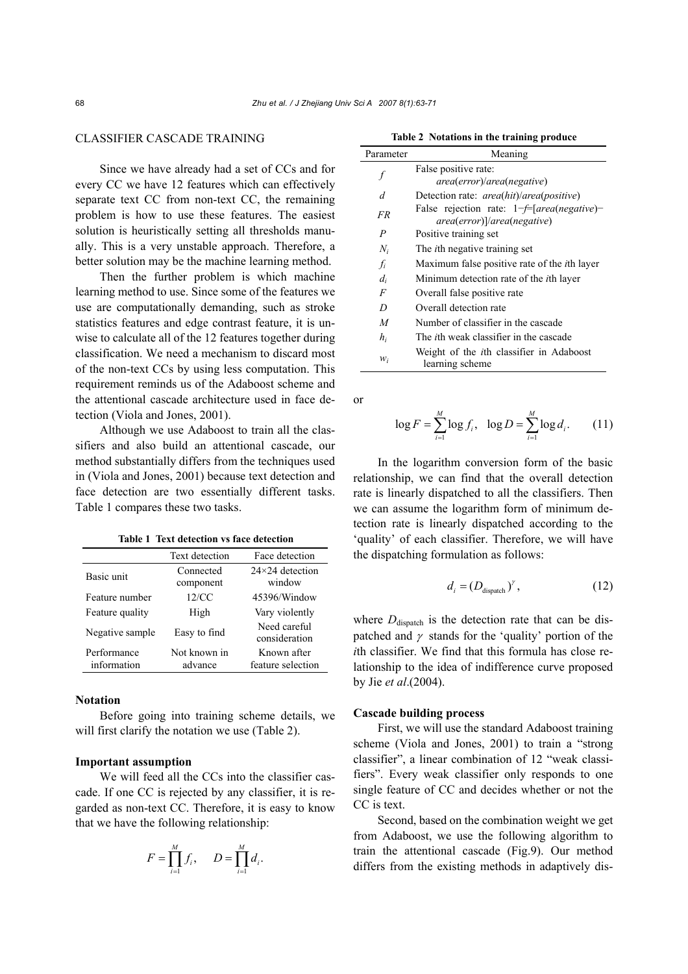## CLASSIFIER CASCADE TRAINING

Since we have already had a set of CCs and for every CC we have 12 features which can effectively separate text CC from non-text CC, the remaining problem is how to use these features. The easiest solution is heuristically setting all thresholds manually. This is a very unstable approach. Therefore, a better solution may be the machine learning method.

Then the further problem is which machine learning method to use. Since some of the features we use are computationally demanding, such as stroke statistics features and edge contrast feature, it is unwise to calculate all of the 12 features together during classification. We need a mechanism to discard most of the non-text CCs by using less computation. This requirement reminds us of the Adaboost scheme and the attentional cascade architecture used in face detection (Viola and Jones, 2001).

Although we use Adaboost to train all the classifiers and also build an attentional cascade, our method substantially differs from the techniques used in (Viola and Jones, 2001) because text detection and face detection are two essentially different tasks. Table 1 compares these two tasks.

**Table 1 Text detection vs face detection** 

|                            | Text detection          | Face detection                   |
|----------------------------|-------------------------|----------------------------------|
| Basic unit                 | Connected<br>component  | $24\times24$ detection<br>window |
| Feature number             | 12/CC                   | 45396/Window                     |
| Feature quality            | High                    | Vary violently                   |
| Negative sample            | Easy to find            | Need careful<br>consideration    |
| Performance<br>information | Not known in<br>advance | Known after<br>feature selection |

#### **Notation**

Before going into training scheme details, we will first clarify the notation we use (Table 2).

### **Important assumption**

We will feed all the CCs into the classifier cascade. If one CC is rejected by any classifier, it is regarded as non-text CC. Therefore, it is easy to know that we have the following relationship:

$$
F = \prod_{i=1}^{M} f_i, \quad D = \prod_{i=1}^{M} d_i.
$$

| Parameter | Meaning                                                                     |
|-----------|-----------------------------------------------------------------------------|
|           | False positive rate:<br>area(error)/area(negative)                          |
| d         | Detection rate: <i>area(hit)/area(positive)</i>                             |
| FR        | False rejection rate: $1-f=[area(negative)-$<br>area(error)]/area(negative) |
| P         | Positive training set                                                       |

|                | rositive training set                                                                       |
|----------------|---------------------------------------------------------------------------------------------|
| $N_i$          | The <i>i</i> th negative training set                                                       |
| $f_i$          | Maximum false positive rate of the <i>i</i> th layer                                        |
| $d_i$          | Minimum detection rate of the <i>i</i> th layer                                             |
| $\overline{F}$ | Overall false positive rate                                                                 |
| D              | Overall detection rate                                                                      |
| M              | Number of classifier in the cascade                                                         |
| $h_i$          | The <i>i</i> th weak classifier in the cascade                                              |
| $W_i$          | Weight of the <i>i</i> th classifier in Adaboost<br>$\mathbf 1$ , $\mathbf 1$ , $\mathbf 1$ |

learning scheme

or

$$
\log F = \sum_{i=1}^{M} \log f_i, \quad \log D = \sum_{i=1}^{M} \log d_i.
$$
 (11)

In the logarithm conversion form of the basic relationship, we can find that the overall detection rate is linearly dispatched to all the classifiers. Then we can assume the logarithm form of minimum detection rate is linearly dispatched according to the 'quality' of each classifier. Therefore, we will have the dispatching formulation as follows:

$$
d_i = (D_{\text{dispatch}})^{\gamma}, \tag{12}
$$

where  $D_{\text{dispatch}}$  is the detection rate that can be dispatched and  $\gamma$  stands for the 'quality' portion of the *i*th classifier. We find that this formula has close relationship to the idea of indifference curve proposed by Jie *et al*.(2004).

## **Cascade building process**

First, we will use the standard Adaboost training scheme (Viola and Jones, 2001) to train a "strong classifier", a linear combination of 12 "weak classifiers". Every weak classifier only responds to one single feature of CC and decides whether or not the CC is text.

Second, based on the combination weight we get from Adaboost, we use the following algorithm to train the attentional cascade (Fig.9). Our method differs from the existing methods in adaptively dis-

**Table 2 Notations in the training produce**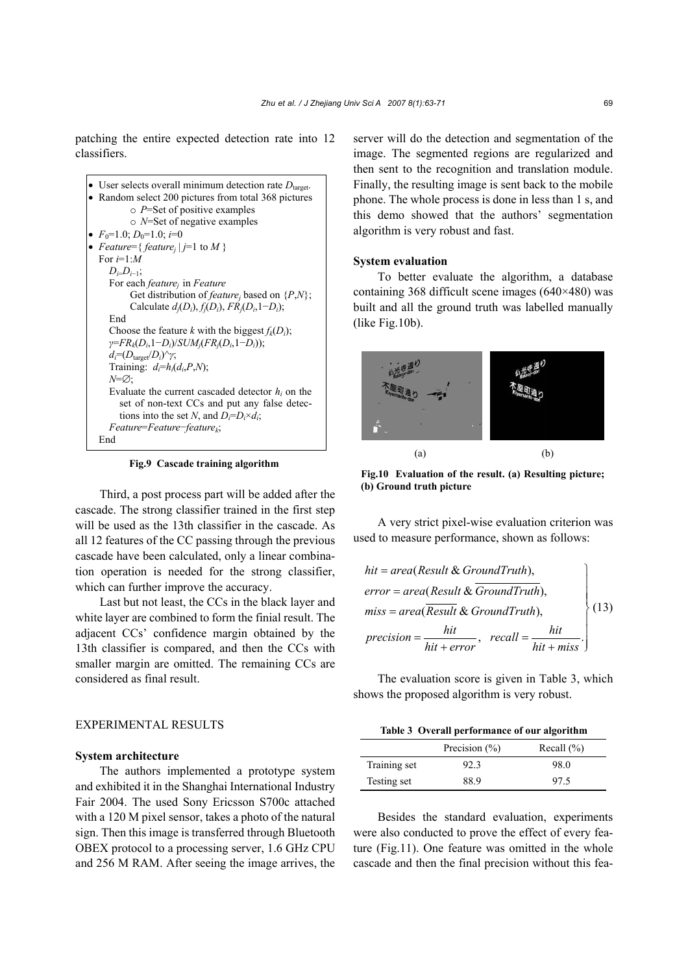patching the entire expected detection rate into 12 classifiers.

```
• User selects overall minimum detection rate D<sub>target</sub>.
• Random select 200 pictures from total 368 pictures
           o P=Set of positive examples
           o N=Set of negative examples
• F_0=1.0; D_0=1.0; i=0• Feature={\{feature_i | j=1 \text{ to } M \}}
  For i=1:M
     D_{i=1}D_{i=1};
     For each feature, in Feature
           Get distribution of featurej based on {P,N};
           Calculate d_i(D_i), f_i(D_i), FR_i(D_i, 1-D_i);
     End 
     Choose the feature k with the biggest f_k(D_i);
     γ=FRk(Di,1−Di)/SUMj(FRj(Di,1−Di));
     d_i = (D_{\text{target}}/D_i)^{\wedge}γ;
     Training: d_i=h_i(d_i, P, N);
     N=∅; 
     Evaluate the current cascaded detector h_i on the
        set of non-text CCs and put any false detec-
        tions into the set N, and D_i = D_i \times d_i;
     Feature=Feature−featurek;
   End
```
**Fig.9 Cascade training algorithm** 

Third, a post process part will be added after the cascade. The strong classifier trained in the first step will be used as the 13th classifier in the cascade. As all 12 features of the CC passing through the previous cascade have been calculated, only a linear combination operation is needed for the strong classifier, which can further improve the accuracy.

Last but not least, the CCs in the black layer and white layer are combined to form the finial result. The adjacent CCs' confidence margin obtained by the 13th classifier is compared, and then the CCs with smaller margin are omitted. The remaining CCs are considered as final result.

## EXPERIMENTAL RESULTS

#### **System architecture**

The authors implemented a prototype system and exhibited it in the Shanghai International Industry Fair 2004. The used Sony Ericsson S700c attached with a 120 M pixel sensor, takes a photo of the natural sign. Then this image is transferred through Bluetooth OBEX protocol to a processing server, 1.6 GHz CPU and 256 M RAM. After seeing the image arrives, the server will do the detection and segmentation of the image. The segmented regions are regularized and then sent to the recognition and translation module. Finally, the resulting image is sent back to the mobile phone. The whole process is done in less than 1 s, and this demo showed that the authors' segmentation algorithm is very robust and fast.

#### **System evaluation**

To better evaluate the algorithm, a database containing 368 difficult scene images (640×480) was built and all the ground truth was labelled manually (like Fig.10b).



**Fig.10 Evaluation of the result. (a) Resulting picture; (b) Ground truth picture** 

A very strict pixel-wise evaluation criterion was used to measure performance, shown as follows:

hit = area(Result & Ground Truth),\nerror = area(Result & Ground Truth),\nmiss = area(Result & Ground Truth),\nprecision = 
$$
\frac{hit}{hit + error}, \quad recall = \frac{hit}{hit + miss}.
$$
\n(13)

The evaluation score is given in Table 3, which shows the proposed algorithm is very robust.

|  | Table 3 Overall performance of our algorithm |  |
|--|----------------------------------------------|--|
|  |                                              |  |

|              | Precision $(\% )$ | Recall $(\% )$ |
|--------------|-------------------|----------------|
| Training set | 92.3              | 98.0           |
| Testing set  | 88.9              | 97.5           |

Besides the standard evaluation, experiments were also conducted to prove the effect of every feature (Fig.11). One feature was omitted in the whole cascade and then the final precision without this fea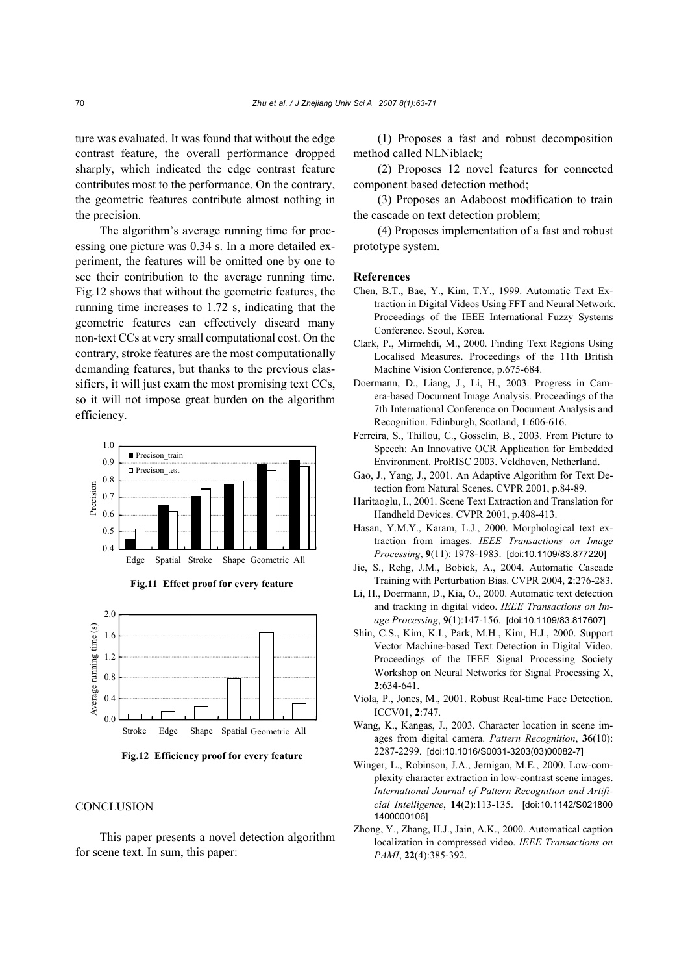ture was evaluated. It was found that without the edge contrast feature, the overall performance dropped sharply, which indicated the edge contrast feature contributes most to the performance. On the contrary, the geometric features contribute almost nothing in the precision.

The algorithm's average running time for processing one picture was 0.34 s. In a more detailed experiment, the features will be omitted one by one to see their contribution to the average running time. Fig.12 shows that without the geometric features, the running time increases to 1.72 s, indicating that the geometric features can effectively discard many non-text CCs at very small computational cost. On the contrary, stroke features are the most computationally demanding features, but thanks to the previous classifiers, it will just exam the most promising text CCs, so it will not impose great burden on the algorithm efficiency.



 **Fig.11 Effect proof for every feature** 



**Fig.12 Efficiency proof for every feature** 

## **CONCLUSION**

This paper presents a novel detection algorithm for scene text. In sum, this paper:

(1) Proposes a fast and robust decomposition method called NLNiblack;

(2) Proposes 12 novel features for connected component based detection method;

(3) Proposes an Adaboost modification to train the cascade on text detection problem;

(4) Proposes implementation of a fast and robust prototype system.

#### **References**

- Chen, B.T., Bae, Y., Kim, T.Y., 1999. Automatic Text Extraction in Digital Videos Using FFT and Neural Network. Proceedings of the IEEE International Fuzzy Systems Conference. Seoul, Korea.
- Clark, P., Mirmehdi, M., 2000. Finding Text Regions Using Localised Measures. Proceedings of the 11th British Machine Vision Conference, p.675-684.
- Doermann, D., Liang, J., Li, H., 2003. Progress in Camera-based Document Image Analysis. Proceedings of the 7th International Conference on Document Analysis and Recognition. Edinburgh, Scotland, **1**:606-616.
- Ferreira, S., Thillou, C., Gosselin, B., 2003. From Picture to Speech: An Innovative OCR Application for Embedded Environment. ProRISC 2003. Veldhoven, Netherland.
- Gao, J., Yang, J., 2001. An Adaptive Algorithm for Text Detection from Natural Scenes. CVPR 2001, p.84-89.
- Haritaoglu, I., 2001. Scene Text Extraction and Translation for Handheld Devices. CVPR 2001, p.408-413.
- Hasan, Y.M.Y., Karam, L.J., 2000. Morphological text extraction from images. *IEEE Transactions on Image Processing*, **9**(11): 1978-1983. [doi:10.1109/83.877220]
- Jie, S., Rehg, J.M., Bobick, A., 2004. Automatic Cascade Training with Perturbation Bias. CVPR 2004, **2**:276-283.
- Li, H., Doermann, D., Kia, O., 2000. Automatic text detection and tracking in digital video. *IEEE Transactions on Image Processing*, **9**(1):147-156. [doi:10.1109/83.817607]
- Shin, C.S., Kim, K.I., Park, M.H., Kim, H.J., 2000. Support Vector Machine-based Text Detection in Digital Video. Proceedings of the IEEE Signal Processing Society Workshop on Neural Networks for Signal Processing X, **2**:634-641.
- Viola, P., Jones, M., 2001. Robust Real-time Face Detection. ICCV01, **2**:747.
- Wang, K., Kangas, J., 2003. Character location in scene images from digital camera. *Pattern Recognition*, **36**(10): 2287-2299. [doi:10.1016/S0031-3203(03)00082-7]
- Winger, L., Robinson, J.A., Jernigan, M.E., 2000. Low-complexity character extraction in low-contrast scene images. *International Journal of Pattern Recognition and Artificial Intelligence*, **14**(2):113-135. [doi:10.1142/S021800 1400000106]
- Zhong, Y., Zhang, H.J., Jain, A.K., 2000. Automatical caption localization in compressed video. *IEEE Transactions on PAMI*, **22**(4):385-392.